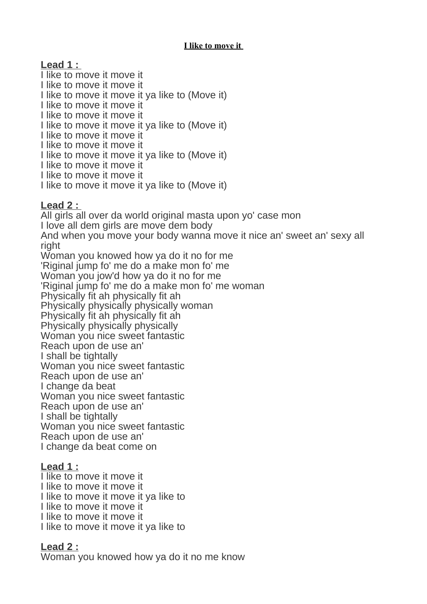## **I like to move it**

**Lead 1 :**  I like to move it move it I like to move it move it I like to move it move it ya like to (Move it) I like to move it move it I like to move it move it I like to move it move it ya like to (Move it) I like to move it move it I like to move it move it I like to move it move it ya like to (Move it) I like to move it move it I like to move it move it

I like to move it move it ya like to (Move it)

## **Lead 2 :**

All girls all over da world original masta upon yo' case mon I love all dem girls are move dem body And when you move your body wanna move it nice an' sweet an' sexy all right Woman you knowed how ya do it no for me 'Riginal jump fo' me do a make mon fo' me Woman you jow'd how ya do it no for me 'Riginal jump fo' me do a make mon fo' me woman Physically fit ah physically fit ah Physically physically physically woman Physically fit ah physically fit ah Physically physically physically Woman you nice sweet fantastic Reach upon de use an' I shall be tightally Woman you nice sweet fantastic Reach upon de use an' I change da beat Woman you nice sweet fantastic Reach upon de use an' I shall be tightally Woman you nice sweet fantastic Reach upon de use an' I change da beat come on **Lead 1 :** I like to move it move it

I like to move it move it I like to move it move it ya like to I like to move it move it I like to move it move it I like to move it move it ya like to

## **Lead 2 :**

Woman you knowed how ya do it no me know